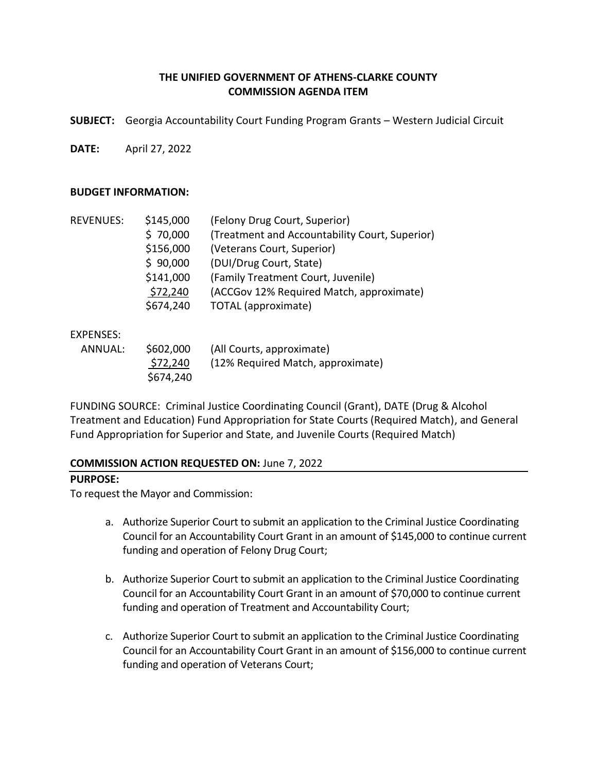# **THE UNIFIED GOVERNMENT OF ATHENS-CLARKE COUNTY COMMISSION AGENDA ITEM**

**SUBJECT:** Georgia Accountability Court Funding Program Grants – Western Judicial Circuit

**DATE:** April 27, 2022

#### **BUDGET INFORMATION:**

| <b>REVENUES:</b> | \$145,000 | (Felony Drug Court, Superior)                  |
|------------------|-----------|------------------------------------------------|
|                  | \$70,000  | (Treatment and Accountability Court, Superior) |
|                  | \$156,000 | (Veterans Court, Superior)                     |
|                  | \$90,000  | (DUI/Drug Court, State)                        |
|                  | \$141,000 | (Family Treatment Court, Juvenile)             |
|                  | \$72,240  | (ACCGov 12% Required Match, approximate)       |
|                  | \$674,240 | TOTAL (approximate)                            |
|                  |           |                                                |

### EXPENSES:

| ANNUAL: | \$602,000 | (All Courts, approximate)         |
|---------|-----------|-----------------------------------|
|         | \$72,240  | (12% Required Match, approximate) |
|         | \$674,240 |                                   |

FUNDING SOURCE: Criminal Justice Coordinating Council (Grant), DATE (Drug & Alcohol Treatment and Education) Fund Appropriation for State Courts (Required Match), and General Fund Appropriation for Superior and State, and Juvenile Courts (Required Match)

### **COMMISSION ACTION REQUESTED ON:** June 7, 2022

### **PURPOSE:**

To request the Mayor and Commission:

- a. Authorize Superior Court to submit an application to the Criminal Justice Coordinating Council for an Accountability Court Grant in an amount of \$145,000 to continue current funding and operation of Felony Drug Court;
- b. Authorize Superior Court to submit an application to the Criminal Justice Coordinating Council for an Accountability Court Grant in an amount of \$70,000 to continue current funding and operation of Treatment and Accountability Court;
- c. Authorize Superior Court to submit an application to the Criminal Justice Coordinating Council for an Accountability Court Grant in an amount of \$156,000 to continue current funding and operation of Veterans Court;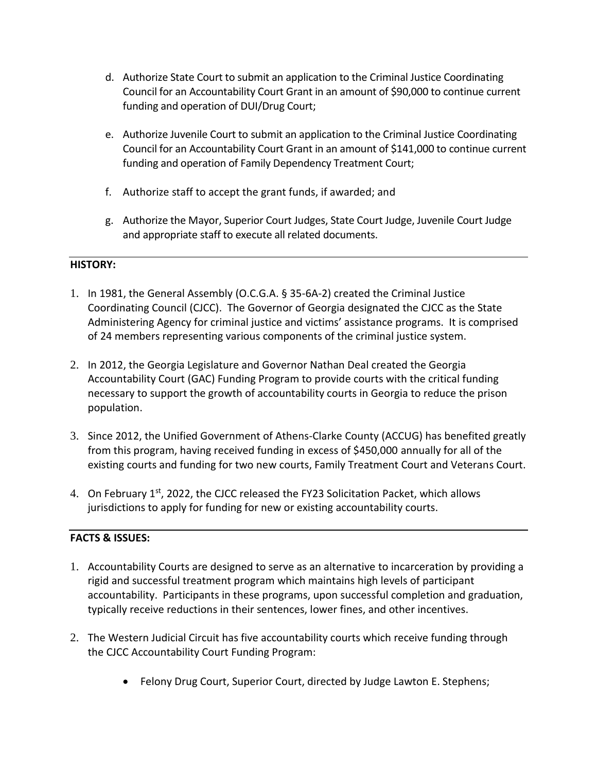- d. Authorize State Court to submit an application to the Criminal Justice Coordinating Council for an Accountability Court Grant in an amount of \$90,000 to continue current funding and operation of DUI/Drug Court;
- e. Authorize Juvenile Court to submit an application to the Criminal Justice Coordinating Council for an Accountability Court Grant in an amount of \$141,000 to continue current funding and operation of Family Dependency Treatment Court;
- f. Authorize staff to accept the grant funds, if awarded; and
- g. Authorize the Mayor, Superior Court Judges, State Court Judge, Juvenile Court Judge and appropriate staff to execute all related documents.

# **HISTORY:**

- 1. In 1981, the General Assembly (O.C.G.A. § 35-6A-2) created the Criminal Justice Coordinating Council (CJCC). The Governor of Georgia designated the CJCC as the State Administering Agency for criminal justice and victims' assistance programs. It is comprised of 24 members representing various components of the criminal justice system.
- 2. In 2012, the Georgia Legislature and Governor Nathan Deal created the Georgia Accountability Court (GAC) Funding Program to provide courts with the critical funding necessary to support the growth of accountability courts in Georgia to reduce the prison population.
- 3. Since 2012, the Unified Government of Athens-Clarke County (ACCUG) has benefited greatly from this program, having received funding in excess of \$450,000 annually for all of the existing courts and funding for two new courts, Family Treatment Court and Veterans Court.
- 4. On February  $1^{st}$ , 2022, the CJCC released the FY23 Solicitation Packet, which allows jurisdictions to apply for funding for new or existing accountability courts.

# **FACTS & ISSUES:**

- 1. Accountability Courts are designed to serve as an alternative to incarceration by providing a rigid and successful treatment program which maintains high levels of participant accountability. Participants in these programs, upon successful completion and graduation, typically receive reductions in their sentences, lower fines, and other incentives.
- 2. The Western Judicial Circuit has five accountability courts which receive funding through the CJCC Accountability Court Funding Program:
	- Felony Drug Court, Superior Court, directed by Judge Lawton E. Stephens;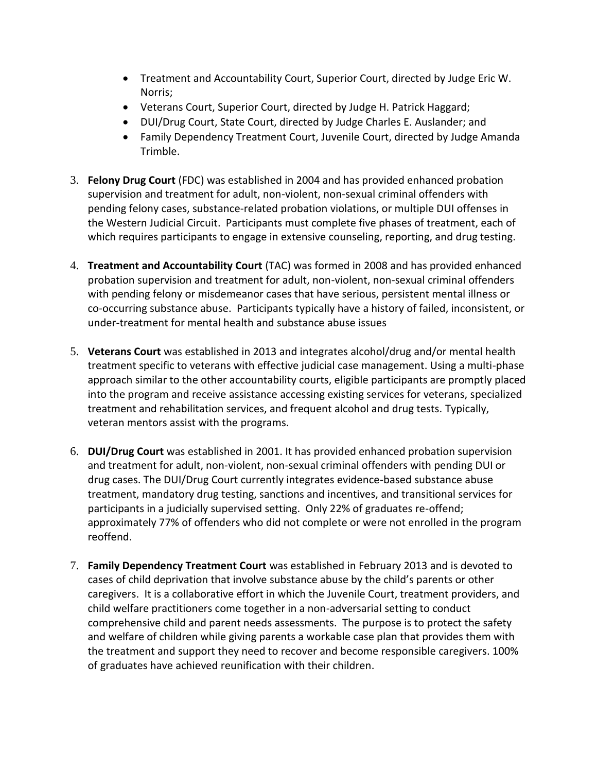- Treatment and Accountability Court, Superior Court, directed by Judge Eric W. Norris;
- Veterans Court, Superior Court, directed by Judge H. Patrick Haggard;
- DUI/Drug Court, State Court, directed by Judge Charles E. Auslander; and
- Family Dependency Treatment Court, Juvenile Court, directed by Judge Amanda Trimble.
- 3. **Felony Drug Court** (FDC) was established in 2004 and has provided enhanced probation supervision and treatment for adult, non-violent, non-sexual criminal offenders with pending felony cases, substance-related probation violations, or multiple DUI offenses in the Western Judicial Circuit. Participants must complete five phases of treatment, each of which requires participants to engage in extensive counseling, reporting, and drug testing.
- 4. **Treatment and Accountability Court** (TAC) was formed in 2008 and has provided enhanced probation supervision and treatment for adult, non-violent, non-sexual criminal offenders with pending felony or misdemeanor cases that have serious, persistent mental illness or co-occurring substance abuse. Participants typically have a history of failed, inconsistent, or under-treatment for mental health and substance abuse issues
- 5. **Veterans Court** was established in 2013 and integrates alcohol/drug and/or mental health treatment specific to veterans with effective judicial case management. Using a multi-phase approach similar to the other accountability courts, eligible participants are promptly placed into the program and receive assistance accessing existing services for veterans, specialized treatment and rehabilitation services, and frequent alcohol and drug tests. Typically, veteran mentors assist with the programs.
- 6. **DUI/Drug Court** was established in 2001. It has provided enhanced probation supervision and treatment for adult, non-violent, non-sexual criminal offenders with pending DUI or drug cases. The DUI/Drug Court currently integrates evidence-based substance abuse treatment, mandatory drug testing, sanctions and incentives, and transitional services for participants in a judicially supervised setting. Only 22% of graduates re-offend; approximately 77% of offenders who did not complete or were not enrolled in the program reoffend.
- 7. **Family Dependency Treatment Court** was established in February 2013 and is devoted to cases of child deprivation that involve substance abuse by the child's parents or other caregivers. It is a collaborative effort in which the Juvenile Court, treatment providers, and child welfare practitioners come together in a non-adversarial setting to conduct comprehensive child and parent needs assessments. The purpose is to protect the safety and welfare of children while giving parents a workable case plan that provides them with the treatment and support they need to recover and become responsible caregivers. 100% of graduates have achieved reunification with their children.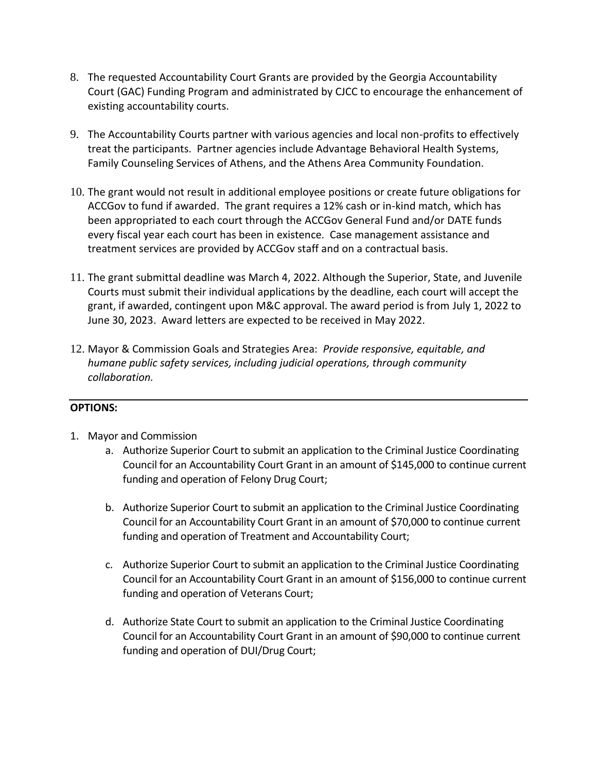- 8. The requested Accountability Court Grants are provided by the Georgia Accountability Court (GAC) Funding Program and administrated by CJCC to encourage the enhancement of existing accountability courts.
- 9. The Accountability Courts partner with various agencies and local non-profits to effectively treat the participants. Partner agencies include Advantage Behavioral Health Systems, Family Counseling Services of Athens, and the Athens Area Community Foundation.
- 10. The grant would not result in additional employee positions or create future obligations for ACCGov to fund if awarded. The grant requires a 12% cash or in-kind match, which has been appropriated to each court through the ACCGov General Fund and/or DATE funds every fiscal year each court has been in existence. Case management assistance and treatment services are provided by ACCGov staff and on a contractual basis.
- 11. The grant submittal deadline was March 4, 2022. Although the Superior, State, and Juvenile Courts must submit their individual applications by the deadline, each court will accept the grant, if awarded, contingent upon M&C approval. The award period is from July 1, 2022 to June 30, 2023. Award letters are expected to be received in May 2022.
- 12. Mayor & Commission Goals and Strategies Area: *Provide responsive, equitable, and humane public safety services, including judicial operations, through community collaboration.*

# **OPTIONS:**

- 1. Mayor and Commission
	- a. Authorize Superior Court to submit an application to the Criminal Justice Coordinating Council for an Accountability Court Grant in an amount of \$145,000 to continue current funding and operation of Felony Drug Court;
	- b. Authorize Superior Court to submit an application to the Criminal Justice Coordinating Council for an Accountability Court Grant in an amount of \$70,000 to continue current funding and operation of Treatment and Accountability Court;
	- c. Authorize Superior Court to submit an application to the Criminal Justice Coordinating Council for an Accountability Court Grant in an amount of \$156,000 to continue current funding and operation of Veterans Court;
	- d. Authorize State Court to submit an application to the Criminal Justice Coordinating Council for an Accountability Court Grant in an amount of \$90,000 to continue current funding and operation of DUI/Drug Court;